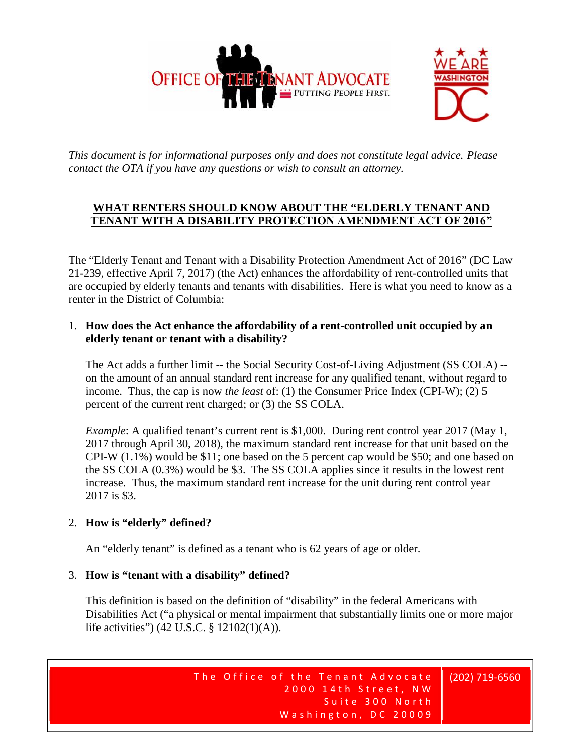



*This document is for informational purposes only and does not constitute legal advice. Please contact the OTA if you have any questions or wish to consult an attorney.*

## **WHAT RENTERS SHOULD KNOW ABOUT THE "ELDERLY TENANT AND TENANT WITH A DISABILITY PROTECTION AMENDMENT ACT OF 2016"**

The "Elderly Tenant and Tenant with a Disability Protection Amendment Act of 2016" (DC Law 21-239, effective April 7, 2017) (the Act) enhances the affordability of rent-controlled units that are occupied by elderly tenants and tenants with disabilities. Here is what you need to know as a renter in the District of Columbia:

## 1. **How does the Act enhance the affordability of a rent-controlled unit occupied by an elderly tenant or tenant with a disability?**

The Act adds a further limit -- the Social Security Cost-of-Living Adjustment (SS COLA) - on the amount of an annual standard rent increase for any qualified tenant, without regard to income. Thus, the cap is now *the least* of: (1) the Consumer Price Index (CPI-W); (2) 5 percent of the current rent charged; or (3) the SS COLA.

*Example*: A qualified tenant's current rent is \$1,000. During rent control year 2017 (May 1, 2017 through April 30, 2018), the maximum standard rent increase for that unit based on the CPI-W (1.1%) would be \$11; one based on the 5 percent cap would be \$50; and one based on the SS COLA (0.3%) would be \$3. The SS COLA applies since it results in the lowest rent increase. Thus, the maximum standard rent increase for the unit during rent control year 2017 is \$3.

## 2. **How is "elderly" defined?**

An "elderly tenant" is defined as a tenant who is 62 years of age or older.

# 3. **How is "tenant with a disability" defined?**

This definition is based on the definition of "disability" in the federal Americans with Disabilities Act ("a physical or mental impairment that substantially limits one or more major life activities") (42 U.S.C. § 12102(1)(A)).

Suite 300 North Sical or mental impairment that substantially limits one or more major<br>C. § 12102(1)(A)).<br>The Office of the Tenant Advocate 2000 14th Street, NW (202)719-656 the Tenant Advocate<br>2000 14th Street, NW<br>Suite 300 North<br>Meshington Concerted enant Advocate (202) 719-656<br>14th Street, NW<br>Suite 300 North<br>1gton, DC 20009 f the Tenant Advocate | (202) 719-656<br>2000 14th Street, NW<br>Suite 300 North<br>Washington, DC 20009

(202) 719-6560